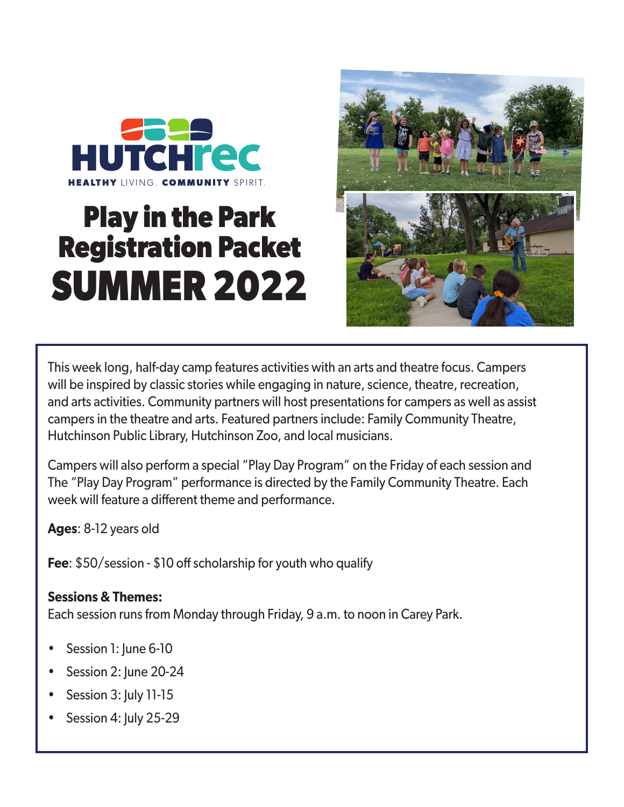

# **Play in the Park Registration Packet SUMMER 2022**



This week long, half-day camp features activities with an arts and theatre focus. Campers will be inspired by classic stories while engaging in nature, science, theatre, recreation, and arts activities. Community partners will host presentations for campers as well as assist campers in the theatre and arts. Featured partners include: Family Community Theatre, Hutchinson Public Library, Hutchinson Zoo, and local musicians.

Campers will also perform a special "Play Day Program" on the Friday of each session and The "Play Day Program" performance is directed by the Family Community Theatre. Each week will feature a different theme and performance.

**Ages**: 8-12 years old

**Fee**: \$50/session - \$10 off scholarship for youth who qualify

### **Sessions & Themes:**

Each session runs from Monday through Friday, 9 a.m. to noon in Carey Park.

- Session 1: June 6-10
- Session 2: June 20-24
- Session 3: July 11-15
- Session 4: July 25-29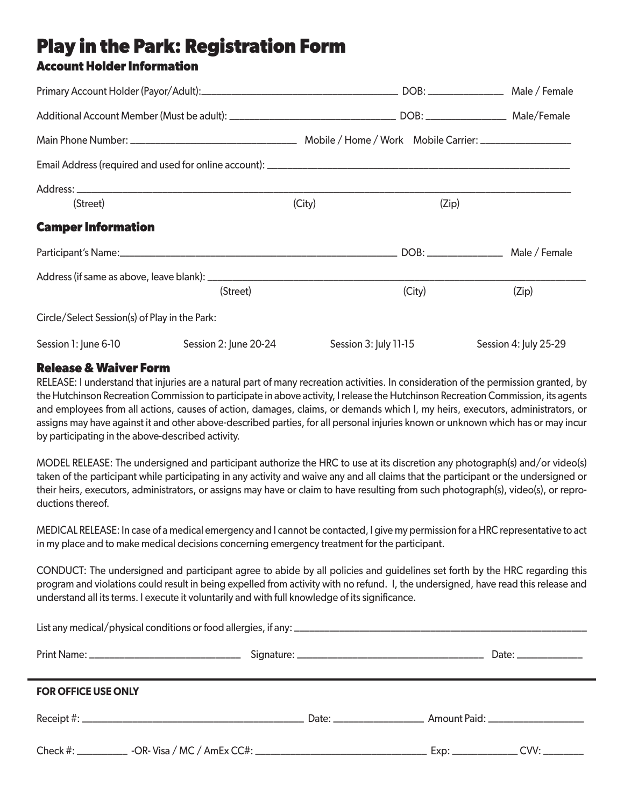# **Play in the Park: Registration Form**

### **Account Holder Information**

| (Street)                                      |                       | (City) | (Zip)                 |                       |  |  |
|-----------------------------------------------|-----------------------|--------|-----------------------|-----------------------|--|--|
| <b>Camper Information</b>                     |                       |        |                       |                       |  |  |
|                                               |                       |        |                       |                       |  |  |
|                                               |                       |        |                       |                       |  |  |
|                                               | (Street)              |        | (City)                | (Zip)                 |  |  |
| Circle/Select Session(s) of Play in the Park: |                       |        |                       |                       |  |  |
| Session 1: June 6-10                          | Session 2: June 20-24 |        | Session 3: July 11-15 | Session 4: July 25-29 |  |  |

#### **Release & Waiver Form**

RELEASE: I understand that injuries are a natural part of many recreation activities. In consideration of the permission granted, by the Hutchinson Recreation Commission to participate in above activity, I release the Hutchinson Recreation Commission, its agents and employees from all actions, causes of action, damages, claims, or demands which I, my heirs, executors, administrators, or assigns may have against it and other above-described parties, for all personal injuries known or unknown which has or may incur by participating in the above-described activity.

MODEL RELEASE: The undersigned and participant authorize the HRC to use at its discretion any photograph(s) and/or video(s) taken of the participant while participating in any activity and waive any and all claims that the participant or the undersigned or their heirs, executors, administrators, or assigns may have or claim to have resulting from such photograph(s), video(s), or reproductions thereof.

MEDICAL RELEASE: In case of a medical emergency and I cannot be contacted, I give my permission for a HRC representative to act in my place and to make medical decisions concerning emergency treatment for the participant.

CONDUCT: The undersigned and participant agree to abide by all policies and guidelines set forth by the HRC regarding this program and violations could result in being expelled from activity with no refund. I, the undersigned, have read this release and understand all its terms. I execute it voluntarily and with full knowledge of its significance.

| <b>FOR OFFICE USE ONLY</b> |  |  |  |  |  |  |
|----------------------------|--|--|--|--|--|--|
|                            |  |  |  |  |  |  |
|                            |  |  |  |  |  |  |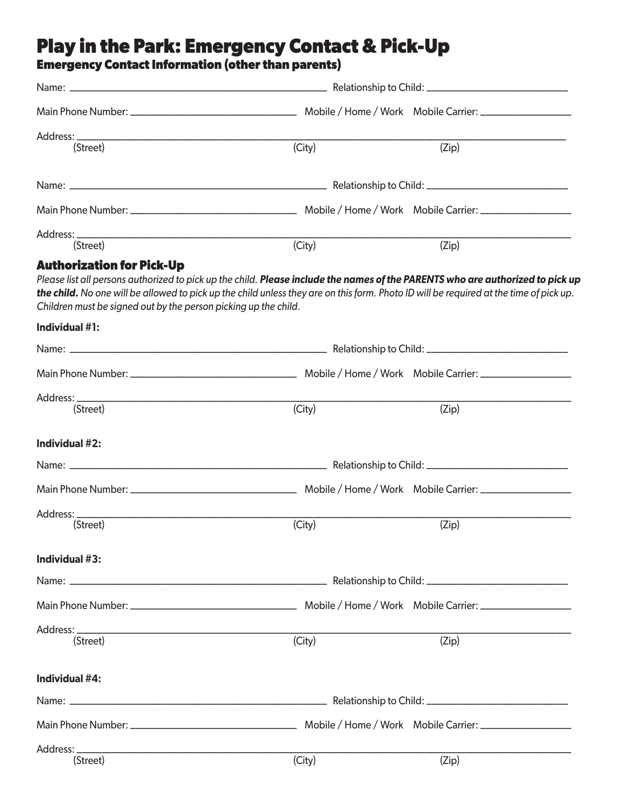## **Play in the Park: Emergency Contact & Pick-Up**

#### **Emergency Contact Information (other than parents)**

| Address: _                                                                                                                        | (City)                                                                                                                                                                                                                                                                   |       |  |  |
|-----------------------------------------------------------------------------------------------------------------------------------|--------------------------------------------------------------------------------------------------------------------------------------------------------------------------------------------------------------------------------------------------------------------------|-------|--|--|
| (Street)                                                                                                                          |                                                                                                                                                                                                                                                                          | (Zip) |  |  |
|                                                                                                                                   |                                                                                                                                                                                                                                                                          |       |  |  |
|                                                                                                                                   |                                                                                                                                                                                                                                                                          |       |  |  |
| (Street)                                                                                                                          | (City)                                                                                                                                                                                                                                                                   | (Zip) |  |  |
| <b>Authorization for Pick-Up</b>                                                                                                  |                                                                                                                                                                                                                                                                          |       |  |  |
| Children must be signed out by the person picking up the child.                                                                   | Please list all persons authorized to pick up the child. Please include the names of the PARENTS who are authorized to pick up<br>the child. No one will be allowed to pick up the child unless they are on this form. Photo ID will be required at the time of pick up. |       |  |  |
| Individual #1:                                                                                                                    |                                                                                                                                                                                                                                                                          |       |  |  |
|                                                                                                                                   |                                                                                                                                                                                                                                                                          |       |  |  |
|                                                                                                                                   |                                                                                                                                                                                                                                                                          |       |  |  |
|                                                                                                                                   |                                                                                                                                                                                                                                                                          |       |  |  |
| (Street)                                                                                                                          | (City)                                                                                                                                                                                                                                                                   | (Zip) |  |  |
| Individual $#2$ :                                                                                                                 |                                                                                                                                                                                                                                                                          |       |  |  |
|                                                                                                                                   |                                                                                                                                                                                                                                                                          |       |  |  |
|                                                                                                                                   |                                                                                                                                                                                                                                                                          |       |  |  |
| Address:<br><u> 1989 - Johann John Stoff, deutscher Stoffen und der Stoffen und der Stoffen und der Stoffen und der Stoffen u</u> |                                                                                                                                                                                                                                                                          |       |  |  |
| (Street)                                                                                                                          | (City)                                                                                                                                                                                                                                                                   | (Zip) |  |  |
| Individual #3:                                                                                                                    |                                                                                                                                                                                                                                                                          |       |  |  |
|                                                                                                                                   |                                                                                                                                                                                                                                                                          |       |  |  |
|                                                                                                                                   |                                                                                                                                                                                                                                                                          |       |  |  |
|                                                                                                                                   |                                                                                                                                                                                                                                                                          |       |  |  |
| (Street)                                                                                                                          | (City)                                                                                                                                                                                                                                                                   | (Zip) |  |  |
| Individual #4:                                                                                                                    |                                                                                                                                                                                                                                                                          |       |  |  |
|                                                                                                                                   |                                                                                                                                                                                                                                                                          |       |  |  |
|                                                                                                                                   |                                                                                                                                                                                                                                                                          |       |  |  |
|                                                                                                                                   |                                                                                                                                                                                                                                                                          |       |  |  |
| (Street)                                                                                                                          | (City)                                                                                                                                                                                                                                                                   | (Zip) |  |  |